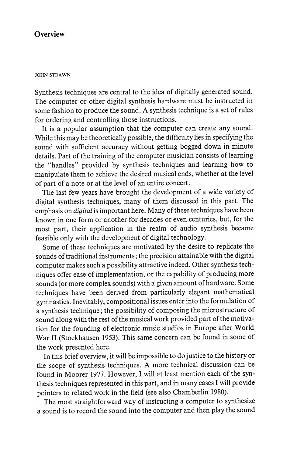## **Overview**

## JOHN STRAWN

Synthesis techniques are central to the idea of digitally generated sound. The computer or other digital synthesis hardware must be instructed in some fashion to produce the sound . A synthesis technique is a set of rules for ordering and controlling those instructions.

It is a popular assumption that the computer can create any sound. While this may be theoretically possible, the difficulty lies in specifying the sound with sufficient accuracy without getting bogged down in minute details. Part of the training of the computer musician consists of learning the "handles" provided by synthesis techniques and learning how to manipulate them to achieve the desired musical ends, whether at the level of part of a note or at the level of an entire concert.

The last few years have brought the development of a wide variety of digital synthesis techniques, many of them discussed in this part. The emphasis on *digital* is important here. Many of these techniques have been known in one form or another for decades or even centuries, but, for the most part, their application in the realm of audio synthesis became feasible only with the development of digital technology .

Some of these techniques are motivated by the desire to replicate the sounds of traditional instruments ; the precision attainable with the digital computer makes such a possibility attractive indeed. Other synthesis techniques offer ease of implementation, or the capability of producing more sounds (or more complex sounds) with a given amount of hardware . Some techniques have been derived from particularly elegant mathematical gymnastics . Inevitably , compositional issues enter into the formulation of a synthesis technique ; the possibility of composing the microstructure of sound along with the rest of the musical work provided part of the motivation for the founding of electronic music studios in Europe after World War II (Stockhausen 1953). This same concern can be found in some of the work presented here.

In this brief overview , it will be impossible to do justice to the history or the scope of synthesis techniques . A more technical discussion can be found in Moorer 1977. However, I will at least mention each of the synthesis techniques represented in this part, and in many cases I will provide pointers to related work in the field (see also Chamberlin 1980).

The most straightforward way of instructing a computer to synthesize a sound is to record the sound into the computer and then play the sound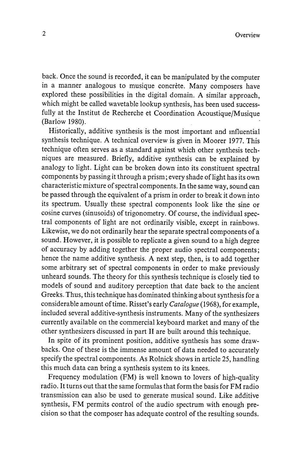back . Once the sound is recorded , it can be manipulated by the computer in a manner analogous to musique concrète. Many composers have explored these possibilities in the digital domain. A similar approach, which might be called wavetable lookup synthesis, has been used successfully at the Institut de Recherche et Coordination Acoustique/Musique (Barlow 1980).

Historically, additive synthesis is the most important and influential synthesis technique . A technical overview is given in Moorer 1977. This technique often serves as a standard against which other synthesis techniques are measured. Briefly, additive synthesis can be explained by analogy to light. Light can be broken down into its constituent spectral components by passing it through a prism ; every shade of light has its own characteristic mixture of spectral components . In the same way , sound can be passed through the equivalent of a prism in order to break it down into its spectrum. Usually these spectral components look like the sine or cosine curves (sinusoids) of trigonometry. Of course, the individual spectral components of light are not ordinarily visible, except in rainbows. Likewise, we do not ordinarily hear the separate spectral components of a sound. However, it is possible to replicate a given sound to a high degree of accuracy by adding together the proper audio spectral components ; hence the name additive synthesis. A next step, then, is to add together some arbitrary set of spectral components in order to make previously unheard sounds. The theory for this synthesis technique is closely tied to models of sound and auditory perception that date back to the ancient Greeks. Thus, this technique has dominated thinking about synthesis for a considerable amount of time. Risset's early *Catalogue* (1968), for example, included several additive -synthesis instruments . Many of the synthesizers currently available on the commercial keyboard market and many of the other synthesizers discussed in part II are built around this technique .

In spite of its prominent position, additive synthesis has some draw-. One of these is the immense amount of data needed to accurately specify the spectral components . As Rolnick shows in article 25, handling this much data can bring a synthesis system to its knees.

Frequency modulation (FM) is well known to lovers of high-quality radio . It turns out that the same formulas that form the basis for FM radio transmission can also be used to generate musical sound. Like additive synthesis, FM permits control of the audio spectrum with enough precision so that the composer has adequate control of the resulting sounds.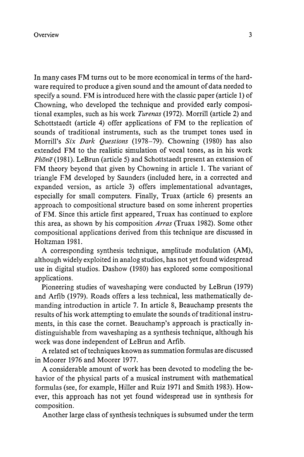In many cases FM turns out to be more economical in terms of the hardware required to produce a given sound and the amount of data needed to specify a sound. FM is introduced here with the classic paper (article 1) of Chowning, who developed the technique and provided early compositional examples, such as his work *Turenas* (1972). Morrill (article 2) and Schottstaedt (article 4) offer applications of FM to the replication of sounds of traditional instruments, such as the trumpet tones used in Morrill's Six Dark Ouestions (1978-79). Chowning (1980) has also extended FM to the realistic simulation of vocal tones, as in his work  $Ph\bar{o}n\bar{e}$  (1981). LeBrun (article 5) and Schottstaedt present an extension of FM theory beyond that given by Chowning in article 1. The variant of triangle FM developed by Saunders (included here, in a corrected and expanded version, as article 3) offers implementational advantages, especially for small computers. Finally, Truax (article 6) presents an approach to compositional structure based on some inherent properties of FM. Since this article first appeared, Truax has continued to explore this area, as shown by his composition Arras (Truax 1982). Some other compositional applications derived from this technique are discussed in Holtzman 1981.

A corresponding synthesis technique, amplitude modulation (AM), although widely exploited in analog studios , has not yet found widespread use in digital studios. Dashow (1980) has explored some compositional applications.

Pioneering studies of waveshaping were conducted by LeBrun ( 1979) and Arfib (1979). Roads offers a less technical, less mathematically demanding introduction in article 7. In article 8, Beauchamp presents the results of his work attempting to emulate the sounds of traditional instruments, in this case the cornet. Beauchamp's approach is practically indistinguishable from wave shaping as a synthesis technique, although his work was done independent of LeBrun and Arfib.

A related set of techniques known as summation formulas are discussed in Moorer 1976 and Moorer 1977.

A considerable amount of work has been devoted to modeling the behavior of the physical parts of a musical instrument with mathematical formulas (see, for example, Hiller and Ruiz 1971 and Smith 1983). However, this approach has not yet found widespread use in synthesis for composition.

Another large class of synthesis techniques is subsumed under the term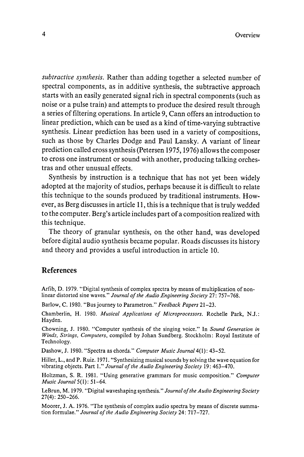subtractive synthesis. Rather than adding together a selected number of spectral components, as in additive synthesis, the subtractive approach starts with an easily generated signal rich in spectral components (such as noise or a pulse train) and attempts to produce the desired result through a series of filtering operations . In article 9, Cann offers an introduction to linear prediction, which can be used as a kind of time-varying subtractive synthesis. Linear prediction has been used in a variety of compositions, such as those by Charles Dodge and Paul Lansky . A variant of linear prediction called cross synthesis (Petersen 1975, 1976) allows the composer to cross one instrument or sound with another, producing talking orchestras and other unusual effects.

Synthesis by instruction is a technique that has not yet been widely adopted at the majority of studios, perhaps because it is difficult to relate this technique to the sounds produced by traditional instruments. However, as Berg discusses in article 11, this is a technique that is truly wedded to the computer . Berg's article includes part of a composition realized with this technique.

The theory of granular synthesis, on the other hand, was developed before digital audio synthesis became popular. Roads discusses its history and theory and provides a useful introduction in article 10.

## References

Arfib, D. 1979. "Digital synthesis of complex spectra by means of multiplication of non-linear distorted sine waves." Journal of the Audio Engineering Society 27: 757-768.

Barlow, C. 1980. "Bus journey to Parametron." Feedback Papers 21-23.

Chamberlin, H. 1980. Musical Applications of Microprocessors. Rochelle Park, N.J.: Hayden.

Chowning, J. 1980. " Computer synthesis of the singing voice." In Sound Generation in Winds, Strings, Computers, compiled by Johan Sundberg. Stockholm: Royal Institute of Technology.

Dashow, J. 1980. "Spectra as chords." Computer Music Journal 4(1): 43-52.

Hiller, L., and P. Ruiz. 1971. "Synthesizing musical sounds by solving the wave equation for vibrating objects. Part 1." Journal of the Audio Engineering Society 19: 463-470.

Holtzman, S. R. 1981. " Using generative grammars for music composition." Computer Music Journal 5(1): 51-64.

LeBrun, M. 1979. "Digital waveshaping synthesis." Journal of the Audio Engineering Society 27(4) : 250- 266.

Moorer, J. A. 1976. "The synthesis of complex audio spectra by means of discrete summation formulae." Journal of the Audio Engineering Society 24: 717-727.